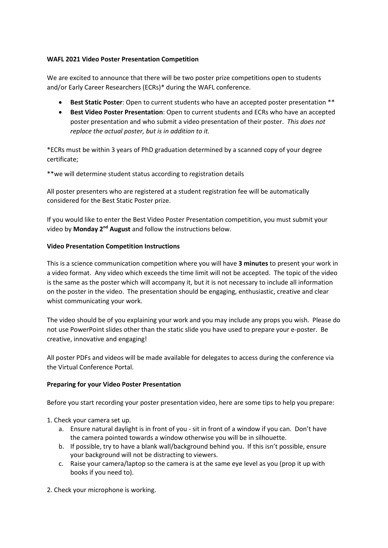## WAFL 2021 Video Poster Presentation Competition

We are excited to announce that there will be two poster prize competitions open to students and/or Early Career Researchers (ECRs)\* during the WAFL conference.

- Best Static Poster: Open to current students who have an accepted poster presentation \*\*
- Best Video Poster Presentation: Open to current students and ECRs who have an accepted poster presentation and who submit a video presentation of their poster. This does not replace the actual poster, but is in addition to it.

\*ECRs must be within 3 years of PhD graduation determined by a scanned copy of your degree certificate;

\*\*we will determine student status according to registration details

All poster presenters who are registered at a student registration fee will be automatically considered for the Best Static Poster prize.

If you would like to enter the Best Video Poster Presentation competition, you must submit your video by Monday 2<sup>nd</sup> August and follow the instructions below.

## Video Presentation Competition Instructions

This is a science communication competition where you will have 3 minutes to present your work in a video format. Any video which exceeds the time limit will not be accepted. The topic of the video is the same as the poster which will accompany it, but it is not necessary to include all information on the poster in the video. The presentation should be engaging, enthusiastic, creative and clear whist communicating your work.

The video should be of you explaining your work and you may include any props you wish. Please do not use PowerPoint slides other than the static slide you have used to prepare your e-poster. Be creative, innovative and engaging!

All poster PDFs and videos will be made available for delegates to access during the conference via the Virtual Conference Portal.

## Preparing for your Video Poster Presentation

Before you start recording your poster presentation video, here are some tips to help you prepare:

- 1. Check your camera set up.
	- a. Ensure natural daylight is in front of you sit in front of a window if you can. Don't have the camera pointed towards a window otherwise you will be in silhouette.
	- b. If possible, try to have a blank wall/background behind you. If this isn't possible, ensure your background will not be distracting to viewers.
	- c. Raise your camera/laptop so the camera is at the same eye level as you (prop it up with books if you need to).

2. Check your microphone is working.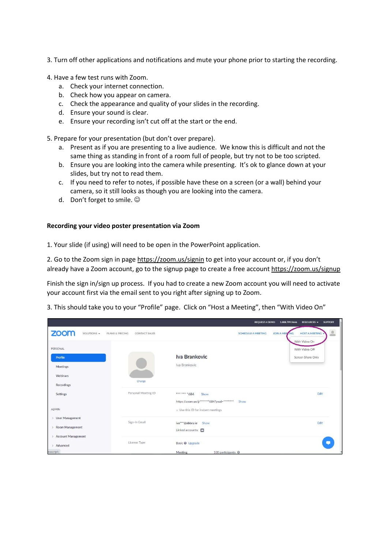- 3. Turn off other applications and notifications and mute your phone prior to starting the recording.
- 4. Have a few test runs with Zoom.
	- a. Check your internet connection.
	- b. Check how you appear on camera.
	- c. Check the appearance and quality of your slides in the recording.
	- d. Ensure your sound is clear.
	- e. Ensure your recording isn't cut off at the start or the end.

5. Prepare for your presentation (but don't over prepare).

- a. Present as if you are presenting to a live audience. We know this is difficult and not the same thing as standing in front of a room full of people, but try not to be too scripted.
- b. Ensure you are looking into the camera while presenting. It's ok to glance down at your slides, but try not to read them.
- c. If you need to refer to notes, if possible have these on a screen (or a wall) behind your camera, so it still looks as though you are looking into the camera.
- d. Don't forget to smile.

## Recording your video poster presentation via Zoom

1. Your slide (if using) will need to be open in the PowerPoint application.

2. Go to the Zoom sign in page https://zoom.us/signin to get into your account or, if you don't already have a Zoom account, go to the signup page to create a free account https://zoom.us/signup

Finish the sign in/sign up process. If you had to create a new Zoom account you will need to activate your account first via the email sent to you right after signing up to Zoom.

3. This should take you to your "Profile" page. Click on "Host a Meeting", then "With Video On"

|                                                           |                                  | <b>REQUEST A DEMO</b>                                                     | <b>RESOURCES -</b><br><b>SUPPORT</b><br>1.888.799.9666 |
|-----------------------------------------------------------|----------------------------------|---------------------------------------------------------------------------|--------------------------------------------------------|
| zoom<br>SOLUTIONS -                                       | PLANS & PRICING<br>CONTACT SALES | <b>SCHEDULE A MEETING</b>                                                 | HOST A MEETING<br><b>JOIN A MEETING</b><br><b>COLO</b> |
| PERSONAL<br>Profile<br>Meetings<br>Webinars<br>Recordings | Change                           | Iva Brankovic<br>Iva Brankovic                                            | With Video On<br>With Video Off<br>Screen Share Only   |
| Settings                                                  | Personal Meeting ID              | *** *** *684<br>Show<br>https://zoom.us/j/*******684?pwd=********<br>Show | Edit                                                   |
| <b>ADMIN</b>                                              |                                  | $\times$ Use this ID for instant meetings                                 |                                                        |
| > User Management                                         | Sign-In Email                    | iva***@abbey.ie Show                                                      | Edit                                                   |
| Room Management<br>$\rightarrow$                          |                                  | Linked accounts:                                                          |                                                        |
| > Account Management                                      | License Type                     | Basic @ Upgrade                                                           |                                                        |
| > Advanced                                                |                                  |                                                                           |                                                        |
| avascript:                                                |                                  | Meeting<br>100 participants @                                             |                                                        |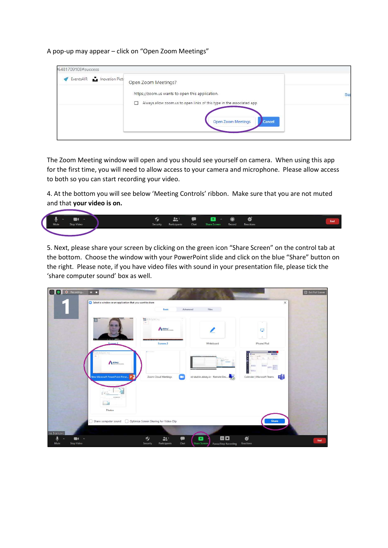A pop-up may appear – click on "Open Zoom Meetings"

| Inovation Pict<br>EventsAIR | Open Zoom Meetings?                                                        |     |
|-----------------------------|----------------------------------------------------------------------------|-----|
|                             | https://zoom.us wants to open this application.                            | Sup |
|                             | Always allow zoom.us to open links of this type in the associated app<br>□ |     |
|                             | Cancel<br><b>Open Zoom Meetings</b>                                        |     |

The Zoom Meeting window will open and you should see yourself on camera. When using this app for the first time, you will need to allow access to your camera and microphone. Please allow access to both so you can start recording your video.

4. At the bottom you will see below 'Meeting Controls' ribbon. Make sure that you are not muted and that your video is on.



5. Next, please share your screen by clicking on the green icon "Share Screen" on the control tab at the bottom. Choose the window with your PowerPoint slide and click on the blue "Share" button on the right. Please note, if you have video files with sound in your presentation file, please tick the 'share computer sound' box as well.

| $\circ$<br>Recording                                         | $\mathbf{u}$                                             |                                                           |                                                         |                                          | 북는 Exit Full Screen |
|--------------------------------------------------------------|----------------------------------------------------------|-----------------------------------------------------------|---------------------------------------------------------|------------------------------------------|---------------------|
|                                                              | Select a window or an application that you want to share |                                                           |                                                         | $\times$                                 |                     |
|                                                              |                                                          | <b>Basic</b>                                              | Advanced<br>Files                                       |                                          |                     |
|                                                              |                                                          | Aabbey                                                    |                                                         |                                          |                     |
|                                                              | $1 - 12$                                                 | <b>MARKET CONTRACT</b>                                    |                                                         | $\overline{\mathbb{L}_\mathbf{a}}$<br>ö. |                     |
|                                                              | Screen 1                                                 | Screen 2                                                  | Whiteboard                                              | iPhone/iPad                              |                     |
|                                                              | $\bigwedge$ abbey                                        |                                                           | Ĕ<br>answ.                                              | o<br><b>TONS</b><br>E                    |                     |
|                                                              | New Microsoft PowerPoint Prese P<br>$\frac{1}{2}$        | Zoom Cloud Meetings<br>$\Box$                             | rd-dublin.abbey.ie - Remote Des                         | Ej j<br>Calendar   Microsoft Teams       |                     |
|                                                              | $-441$<br>Photos                                         |                                                           |                                                         |                                          |                     |
|                                                              | Share computer sound                                     | Optimize Screen Sharing for Video Clip                    |                                                         | Share                                    |                     |
| Iva Brankovic                                                |                                                          |                                                           |                                                         |                                          |                     |
| ♦<br>$\lambda$<br>m d<br>$\sim$<br><b>Stop Video</b><br>Mute |                                                          | 221<br>$\bullet$<br>♥<br>Participants<br>Chat<br>Security | <b>00</b><br>63<br>Share Screen<br>Pause/Stop Recording | $\bullet$<br>Reactions                   | End                 |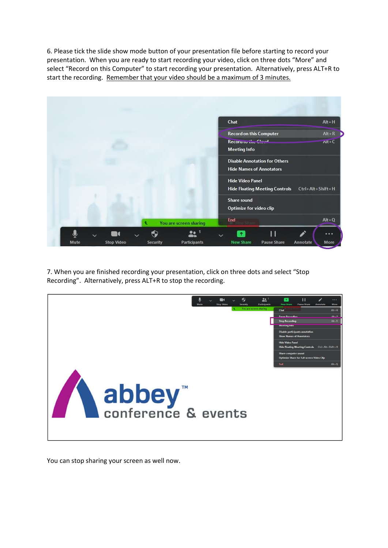6. Please tick the slide show mode button of your presentation file before starting to record your presentation. When you are ready to start recording your video, click on three dots "More" and select "Record on this Computer" to start recording your presentation. Alternatively, press ALT+R to start the recording. Remember that your video should be a maximum of 3 minutes.



7. When you are finished recording your presentation, click on three dots and select "Stop Recording". Alternatively, press ALT+R to stop the recording.



You can stop sharing your screen as well now.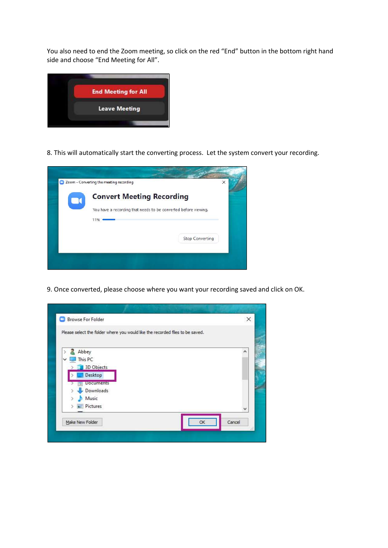You also need to end the Zoom meeting, so click on the red "End" button in the bottom right hand side and choose "End Meeting for All".



8. This will automatically start the converting process. Let the system convert your recording.



9. Once converted, please choose where you want your recording saved and click on OK.

| Please select the folder where you would like the recorded files to be saved. |  |   |
|-------------------------------------------------------------------------------|--|---|
| Abbey                                                                         |  | ۸ |
| This PC                                                                       |  |   |
| 3D Objects                                                                    |  |   |
| Desktop                                                                       |  |   |
| <b>Documents</b>                                                              |  |   |
| Downloads                                                                     |  |   |
| Music                                                                         |  |   |
| Pictures                                                                      |  |   |
|                                                                               |  |   |